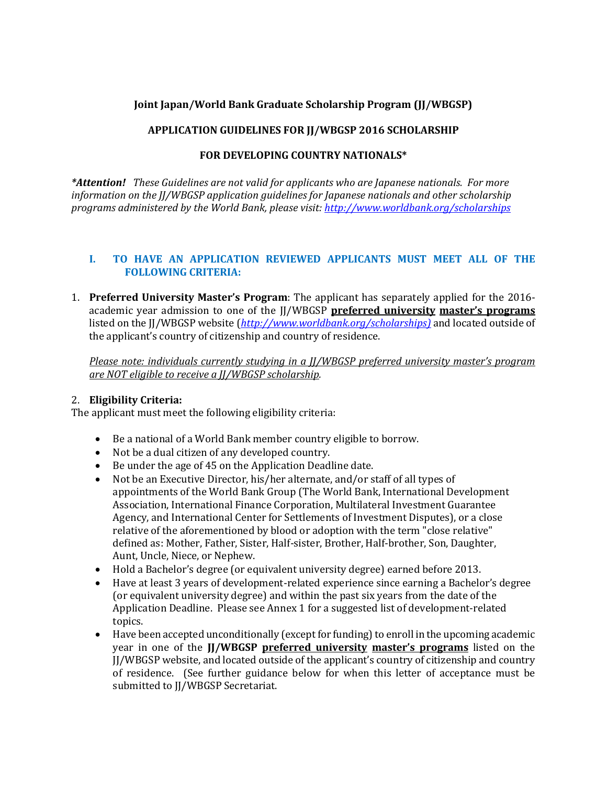# **Joint Japan/World Bank Graduate Scholarship Program (JJ/WBGSP)**

# **APPLICATION GUIDELINES FOR JJ/WBGSP 2016 SCHOLARSHIP**

## **FOR DEVELOPING COUNTRY NATIONALS\***

*\*Attention! These Guidelines are not valid for applicants who are Japanese nationals. For more information on the JJ/WBGSP application guidelines for Japanese nationals and other scholarship programs administered by the World Bank, please visit:<http://www.worldbank.org/scholarships>*

### **I. TO HAVE AN APPLICATION REVIEWED APPLICANTS MUST MEET ALL OF THE FOLLOWING CRITERIA:**

1. **Preferred University Master's Program**: The applicant has separately applied for the 2016 academic year admission to one of the JJ/WBGSP **preferred university master's programs** listed on the JJ/WBGSP website (*[http://www.worldbank.org/scholarships\)](http://www.worldbank.org/scholarships)* and located outside of the applicant's country of citizenship and country of residence.

*Please note: individuals currently studying in a JJ/WBGSP preferred university master's program are NOT eligible to receive a JJ/WBGSP scholarship.*

## 2. **Eligibility Criteria:**

The applicant must meet the following eligibility criteria:

- Be a national of a World Bank member country eligible to borrow.
- Not be a dual citizen of any developed country.
- Be under the age of 45 on the Application Deadline date.
- Not be an Executive Director, his/her alternate, and/or staff of all types of appointments of the World Bank Group (The World Bank, International Development Association, International Finance Corporation, Multilateral Investment Guarantee Agency, and International Center for Settlements of Investment Disputes), or a close relative of the aforementioned by blood or adoption with the term "close relative" defined as: Mother, Father, Sister, Half-sister, Brother, Half-brother, Son, Daughter, Aunt, Uncle, Niece, or Nephew.
- Hold a Bachelor's degree (or equivalent university degree) earned before 2013.
- Have at least 3 years of development-related experience since earning a Bachelor's degree (or equivalent university degree) and within the past six years from the date of the Application Deadline. Please see Annex 1 for a suggested list of development-related topics.
- Have been accepted unconditionally (except for funding) to enroll in the upcoming academic year in one of the **JJ/WBGSP preferred university master's programs** listed on the JJ/WBGSP website, and located outside of the applicant's country of citizenship and country of residence. (See further guidance below for when this letter of acceptance must be submitted to JJ/WBGSP Secretariat.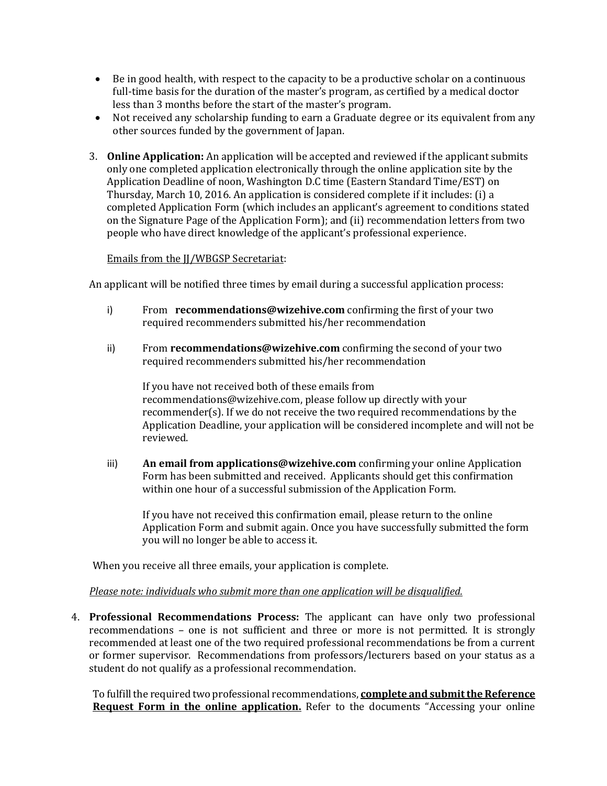- Be in good health, with respect to the capacity to be a productive scholar on a continuous full-time basis for the duration of the master's program, as certified by a medical doctor less than 3 months before the start of the master's program.
- Not received any scholarship funding to earn a Graduate degree or its equivalent from any other sources funded by the government of Japan.
- 3. **Online Application:** An application will be accepted and reviewed if the applicant submits only one completed application electronically through the online application site by the Application Deadline of noon, Washington D.C time (Eastern Standard Time/EST) on Thursday, March 10, 2016. An application is considered complete if it includes: (i) a completed Application Form (which includes an applicant's agreement to conditions stated on the Signature Page of the Application Form); and (ii) recommendation letters from two people who have direct knowledge of the applicant's professional experience.

#### Emails from the JJ/WBGSP Secretariat:

An applicant will be notified three times by email during a successful application process:

- i) From **recommendations@wizehive.com** confirming the first of your two required recommenders submitted his/her recommendation
- ii) From **recommendations@wizehive.com** confirming the second of your two required recommenders submitted his/her recommendation

If you have not received both of these emails from recommendations@wizehive.com, please follow up directly with your recommender(s). If we do not receive the two required recommendations by the Application Deadline, your application will be considered incomplete and will not be reviewed.

iii) **An email from applications@wizehive.com** confirming your online Application Form has been submitted and received. Applicants should get this confirmation within one hour of a successful submission of the Application Form.

If you have not received this confirmation email, please return to the online Application Form and submit again. Once you have successfully submitted the form you will no longer be able to access it.

When you receive all three emails, your application is complete.

#### *Please note: individuals who submit more than one application will be disqualified.*

4. **Professional Recommendations Process:** The applicant can have only two professional recommendations – one is not sufficient and three or more is not permitted. It is strongly recommended at least one of the two required professional recommendations be from a current or former supervisor. Recommendations from professors/lecturers based on your status as a student do not qualify as a professional recommendation.

To fulfill the required two professional recommendations, **complete and submit the Reference Request Form in the online application.** Refer to the documents "Accessing your online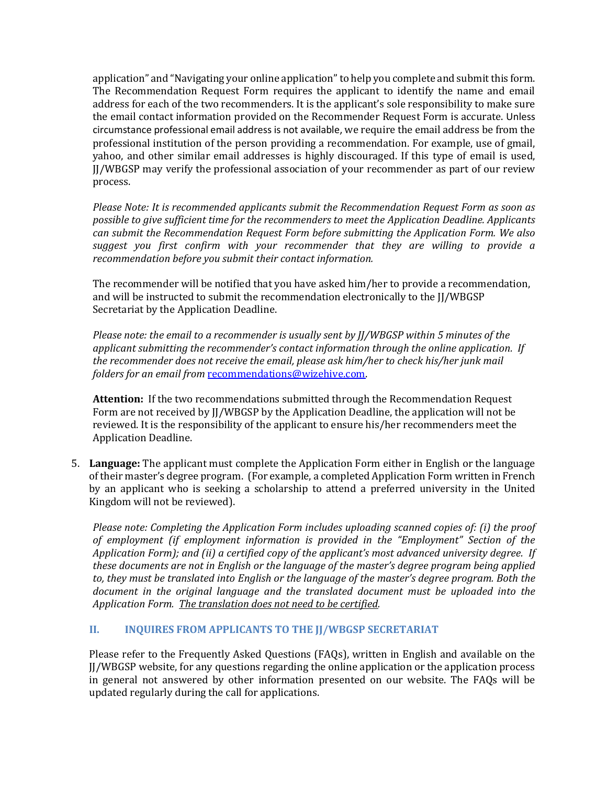application" and "Navigating your online application"to help you complete and submit this form. The Recommendation Request Form requires the applicant to identify the name and email address for each of the two recommenders. It is the applicant's sole responsibility to make sure the email contact information provided on the Recommender Request Form is accurate. Unless circumstance professional email address is not available, we require the email address be from the professional institution of the person providing a recommendation. For example, use of gmail, yahoo, and other similar email addresses is highly discouraged. If this type of email is used, JJ/WBGSP may verify the professional association of your recommender as part of our review process.

*Please Note: It is recommended applicants submit the Recommendation Request Form as soon as possible to give sufficient time for the recommenders to meet the Application Deadline. Applicants can submit the Recommendation Request Form before submitting the Application Form. We also suggest you first confirm with your recommender that they are willing to provide a recommendation before you submit their contact information.*

The recommender will be notified that you have asked him/her to provide a recommendation, and will be instructed to submit the recommendation electronically to the JJ/WBGSP Secretariat by the Application Deadline.

*Please note: the email to a recommender is usually sent by JJ/WBGSP within 5 minutes of the applicant submitting the recommender's contact information through the online application. If the recommender does not receive the email, please ask him/her to check his/her junk mail folders for an email from* [recommendations@wizehive.com.](mailto:recommendations@wizehive.com)

**Attention:** If the two recommendations submitted through the Recommendation Request Form are not received by JJ/WBGSP by the Application Deadline, the application will not be reviewed. It is the responsibility of the applicant to ensure his/her recommenders meet the Application Deadline.

5. **Language:** The applicant must complete the Application Form either in English or the language of their master's degree program. (For example, a completed Application Form written in French by an applicant who is seeking a scholarship to attend a preferred university in the United Kingdom will not be reviewed).

*Please note: Completing the Application Form includes uploading scanned copies of: (i) the proof of employment (if employment information is provided in the "Employment" Section of the Application Form); and (ii) a certified copy of the applicant's most advanced university degree. If these documents are not in English or the language of the master's degree program being applied to, they must be translated into English or the language of the master's degree program. Both the document in the original language and the translated document must be uploaded into the Application Form. The translation does not need to be certified.*

## **II. INQUIRES FROM APPLICANTS TO THE JJ/WBGSP SECRETARIAT**

Please refer to the Frequently Asked Questions (FAQs), written in English and available on the JJ/WBGSP website, for any questions regarding the online application or the application process in general not answered by other information presented on our website. The FAQs will be updated regularly during the call for applications.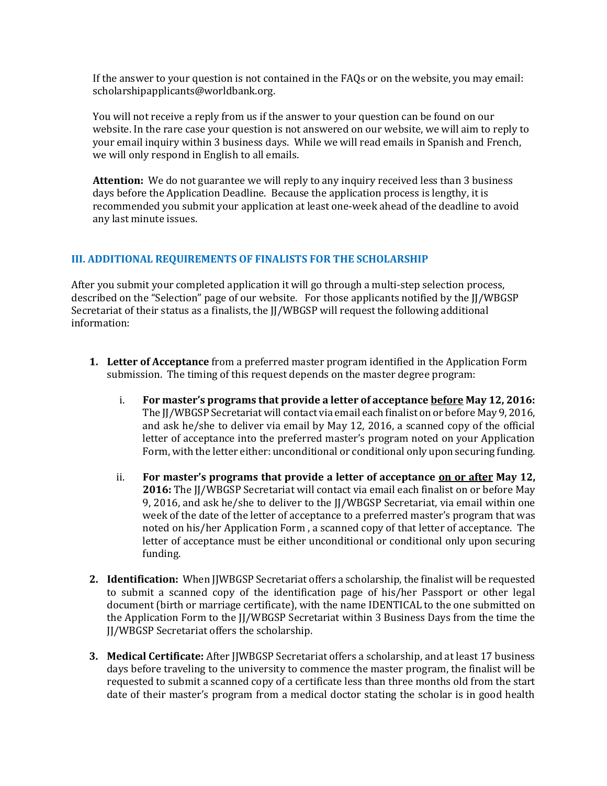If the answer to your question is not contained in the FAQs or on the website, you may email: scholarshipapplicants@worldbank.org.

You will not receive a reply from us if the answer to your question can be found on our website. In the rare case your question is not answered on our website, we will aim to reply to your email inquiry within 3 business days. While we will read emails in Spanish and French, we will only respond in English to all emails.

**Attention:** We do not guarantee we will reply to any inquiry received less than 3 business days before the Application Deadline. Because the application process is lengthy, it is recommended you submit your application at least one-week ahead of the deadline to avoid any last minute issues.

#### **III. ADDITIONAL REQUIREMENTS OF FINALISTS FOR THE SCHOLARSHIP**

After you submit your completed application it will go through a multi-step selection process, described on the "Selection" page of our website. For those applicants notified by the JJ/WBGSP Secretariat of their status as a finalists, the JJ/WBGSP will request the following additional information:

- **1. Letter of Acceptance** from a preferred master program identified in the Application Form submission. The timing of this request depends on the master degree program:
	- i. **For master's programs that provide a letter of acceptance before May 12, 2016:**  The JJ/WBGSP Secretariat will contact via email each finalist on or before May 9, 2016, and ask he/she to deliver via email by May 12, 2016, a scanned copy of the official letter of acceptance into the preferred master's program noted on your Application Form, with the letter either: unconditional or conditional only upon securing funding.
	- ii. **For master's programs that provide a letter of acceptance on or after May 12, 2016:** The JJ/WBGSP Secretariat will contact via email each finalist on or before May 9, 2016, and ask he/she to deliver to the JJ/WBGSP Secretariat, via email within one week of the date of the letter of acceptance to a preferred master's program that was noted on his/her Application Form , a scanned copy of that letter of acceptance. The letter of acceptance must be either unconditional or conditional only upon securing funding.
- **2. Identification:** When JJWBGSP Secretariat offers a scholarship, the finalist will be requested to submit a scanned copy of the identification page of his/her Passport or other legal document (birth or marriage certificate), with the name IDENTICAL to the one submitted on the Application Form to the JJ/WBGSP Secretariat within 3 Business Days from the time the JJ/WBGSP Secretariat offers the scholarship.
- **3. Medical Certificate:** After JJWBGSP Secretariat offers a scholarship, and at least 17 business days before traveling to the university to commence the master program, the finalist will be requested to submit a scanned copy of a certificate less than three months old from the start date of their master's program from a medical doctor stating the scholar is in good health